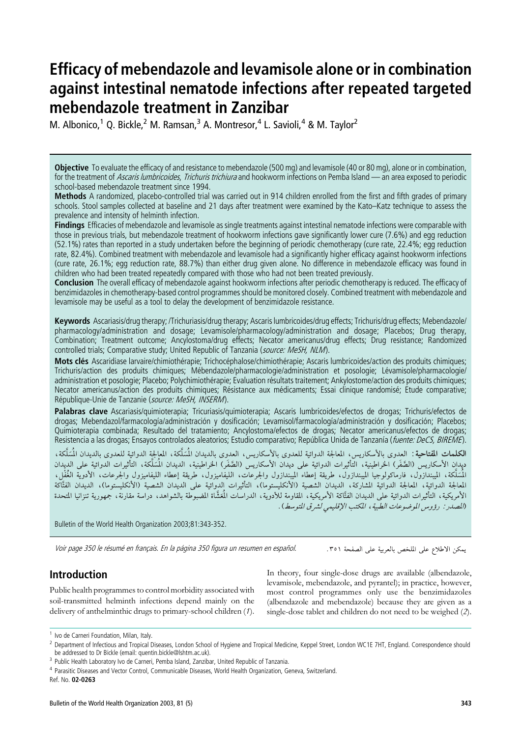# Efficacy of mebendazole and levamisole alone or in combination against intestinal nematode infections after repeated targeted mebendazole treatment in Zanzibar

M. Albonico,<sup>1</sup> Q. Bickle,<sup>2</sup> M. Ramsan,<sup>3</sup> A. Montresor,<sup>4</sup> L. Savioli,<sup>4</sup> & M. Taylor<sup>2</sup>

Objective To evaluate the efficacy of and resistance to mebendazole (500 mg) and levamisole (40 or 80 mg), alone or in combination, for the treatment of Ascaris lumbricoides, Trichuris trichiura and hookworm infections on Pemba Island — an area exposed to periodic school-based mebendazole treatment since 1994.

Methods A randomized, placebo-controlled trial was carried out in 914 children enrolled from the first and fifth grades of primary schools. Stool samples collected at baseline and 21 days after treatment were examined by the Kato–Katz technique to assess the prevalence and intensity of helminth infection.

Findings Efficacies of mebendazole and levamisole as single treatments against intestinal nematode infections were comparable with those in previous trials, but mebendazole treatment of hookworm infections gave significantly lower cure (7.6%) and egg reduction (52.1%) rates than reported in a study undertaken before the beginning of periodic chemotherapy (cure rate, 22.4%; egg reduction rate, 82.4%). Combined treatment with mebendazole and levamisole had a significantly higher efficacy against hookworm infections (cure rate, 26.1%; egg reduction rate, 88.7%) than either drug given alone. No difference in mebendazole efficacy was found in children who had been treated repeatedly compared with those who had not been treated previously.

Conclusion The overall efficacy of mebendazole against hookworm infections after periodic chemotherapy is reduced. The efficacy of benzimidazoles in chemotherapy-based control programmes should be monitored closely. Combined treatment with mebendazole and levamisole may be useful as a tool to delay the development of benzimidazole resistance.

Keywords Ascariasis/drug therapy; /Trichuriasis/drug therapy; Ascaris lumbricoides/drug effects; Trichuris/drug effects; Mebendazole/ pharmacology/administration and dosage; Levamisole/pharmacology/administration and dosage; Placebos; Drug therapy, Combination; Treatment outcome; Ancylostoma/drug effects; Necator americanus/drug effects; Drug resistance; Randomized controlled trials; Comparative study; United Republic of Tanzania (source: MeSH, NLM).

Mots clés Ascaridiase larvaire/chimiothérapie: Trichocéphalose/chimiothérapie; Ascaris lumbricoides/action des produits chimiques; Trichuris/action des produits chimiques; Mébendazole/pharmacologie/administration et posologie; Lévamisole/pharmacologie/ administration et posologie; Placebo; Polychimiothérapie; Evaluation résultats traitement; Ankylostome/action des produits chimiques; Necator americanus/action des produits chimiques; Résistance aux médicaments; Essai clinique randomisé; Etude comparative; République-Unie de Tanzanie (source: MeSH, INSERM).

Palabras clave Ascariasis/quimioterapia; Tricuriasis/quimioterapia; Ascaris lumbricoides/efectos de drogas; Trichuris/efectos de drogas; Mebendazol/farmacología/administración y dosificación; Levamisol/farmacología/administración y dosificación; Placebos; Quimioterapia combinada; Resultado del tratamiento; Ancylostoma/efectos de drogas; Necator americanus/efectos de drogas; Resistencia a las drogas; Ensayos controlados aleatorios; Estudio comparativo; República Unida de Tanzanía (fuente: DeCS, BIREME).

**الكلمات المفتاحية** : العدوى بالأسكاريس، المعالجة الدوائية للعدوى بالأسكاريس، العدوى بالديدان المُسَلَّكة، المعالجة الدوائية للعدوى بالديدان المُسَلَّكة، ديدان الأسكاريس (الصَّفَر) الخراطينية، التَّأثيرات الدوائية على ديدان الأسكاريس (الصَّفَر) الخراطينية، الديدان المُسَلَّكة، التأثيرات الدوائية على الديدان المُسَلَّكة، الميندازوّل، فارماكولوجيا الميبندازول، طريقة إعطاء الميبندازول والجرعات، الليفاميزوله الليفاميزول والجرعات، الأدوية الغُفْل، المعالجة الدوائية، المعالجة الدوائية المشاركة، الديدان الشصية (الأنكليستوما)، التأثيرات الدوائية على الديدان الشصية (الأنكليستوما)، الديدان الفتَّاكة الأمريكية، التأثيرات الدوائية على الديدان الفتَّاكة الأمريكية، المقاومة للأدوية، الدراسات المُعَشَّاة المضبوطة بالشواهد، دراسة مقارنة، جمهورية تنزانيا المتحدة (المصدر : رؤوسر الموضوعات الطبية ، المكتب الإقليمي لشرق المتوسط) .

Bulletin of the World Health Organization 2003;81:343-352.

Voir page 350 le résumé en français. En la página 350 figura un resumen en español.

يمكن الاطلاع على الملخص بالعربية على الصفحة ٣٥١.

## Introduction

Public health programmes to control morbidity associated with soil-transmitted helminth infections depend mainly on the delivery of anthelminthic drugs to primary-school children (1).

In theory, four single-dose drugs are available (albendazole, levamisole, mebendazole, and pyrantel); in practice, however, most control programmes only use the benzimidazoles (albendazole and mebendazole) because they are given as a single-dose tablet and children do not need to be weighed (2).

<sup>&</sup>lt;sup>1</sup> Ivo de Carneri Foundation, Milan, Italy.

<sup>&</sup>lt;sup>2</sup> Department of Infectious and Tropical Diseases, London School of Hygiene and Tropical Medicine, Keppel Street, London WC1E 7HT, England. Correspondence should be addressed to Dr Bickle (email: quentin.bickle@lshtm.ac.uk).

<sup>&</sup>lt;sup>3</sup> Public Health Laboratory Ivo de Carneri, Pemba Island, Zanzibar, United Republic of Tanzania.

<sup>4</sup> Parasitic Diseases and Vector Control, Communicable Diseases, World Health Organization, Geneva, Switzerland.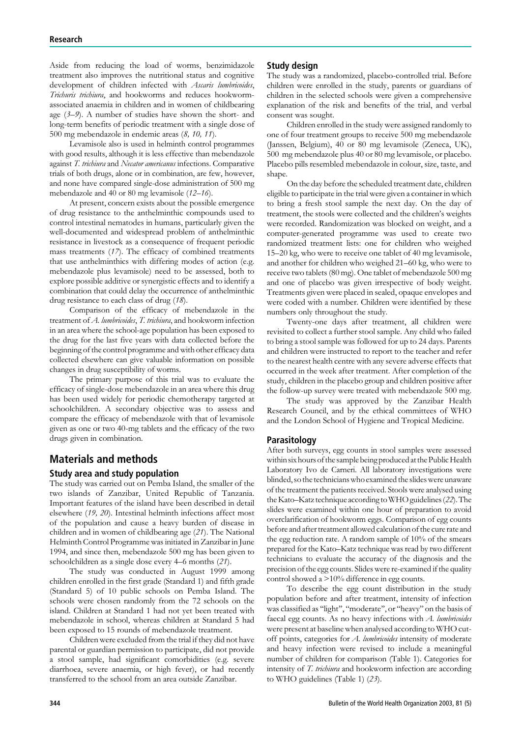Aside from reducing the load of worms, benzimidazole treatment also improves the nutritional status and cognitive development of children infected with Ascaris lumbricoides, Trichuris trichiura, and hookworms and reduces hookwormassociated anaemia in children and in women of childbearing age  $(3-9)$ . A number of studies have shown the short- and long-term benefits of periodic treatment with a single dose of 500 mg mebendazole in endemic areas (8, 10, 11).

Levamisole also is used in helminth control programmes with good results, although it is less effective than mebendazole against T. trichiura and Necator americanus infections. Comparative trials of both drugs, alone or in combination, are few, however, and none have compared single-dose administration of 500 mg mebendazole and 40 or 80 mg levamisole (12–16).

At present, concern exists about the possible emergence of drug resistance to the anthelminthic compounds used to control intestinal nematodes in humans, particularly given the well-documented and widespread problem of anthelminthic resistance in livestock as a consequence of frequent periodic mass treatments (17). The efficacy of combined treatments that use anthelminthics with differing modes of action (e.g. mebendazole plus levamisole) need to be assessed, both to explore possible additive or synergistic effects and to identify a combination that could delay the occurrence of anthelminthic drug resistance to each class of drug (18).

Comparison of the efficacy of mebendazole in the treatment of A. lumbricoides, T. trichiura, and hookworm infection in an area where the school-age population has been exposed to the drug for the last five years with data collected before the beginning of the control programme and with other efficacy data collected elsewhere can give valuable information on possible changes in drug susceptibility of worms.

The primary purpose of this trial was to evaluate the efficacy of single-dose mebendazole in an area where this drug has been used widely for periodic chemotherapy targeted at schoolchildren. A secondary objective was to assess and compare the efficacy of mebendazole with that of levamisole given as one or two 40-mg tablets and the efficacy of the two drugs given in combination.

## Materials and methods

#### Study area and study population

The study was carried out on Pemba Island, the smaller of the two islands of Zanzibar, United Republic of Tanzania. Important features of the island have been described in detail elsewhere (19, 20). Intestinal helminth infections affect most of the population and cause a heavy burden of disease in children and in women of childbearing age (21). The National Helminth Control Programme was initiated in Zanzibar in June 1994, and since then, mebendazole 500 mg has been given to schoolchildren as a single dose every 4–6 months (21).

The study was conducted in August 1999 among children enrolled in the first grade (Standard 1) and fifth grade (Standard 5) of 10 public schools on Pemba Island. The schools were chosen randomly from the 72 schools on the island. Children at Standard 1 had not yet been treated with mebendazole in school, whereas children at Standard 5 had been exposed to 15 rounds of mebendazole treatment.

Children were excluded from the trial if they did not have parental or guardian permission to participate, did not provide a stool sample, had significant comorbidities (e.g. severe diarrhoea, severe anaemia, or high fever), or had recently transferred to the school from an area outside Zanzibar.

#### Study design

The study was a randomized, placebo-controlled trial. Before children were enrolled in the study, parents or guardians of children in the selected schools were given a comprehensive explanation of the risk and benefits of the trial, and verbal consent was sought.

Children enrolled in the study were assigned randomly to one of four treatment groups to receive 500 mg mebendazole (Janssen, Belgium), 40 or 80 mg levamisole (Zeneca, UK), 500 mg mebendazole plus 40 or 80 mg levamisole, or placebo. Placebo pills resembled mebendazole in colour, size, taste, and shape.

On the day before the scheduled treatment date, children eligible to participate in the trial were given a container in which to bring a fresh stool sample the next day. On the day of treatment, the stools were collected and the children's weights were recorded. Randomization was blocked on weight, and a computer-generated programme was used to create two randomized treatment lists: one for children who weighed 15–20 kg, who were to receive one tablet of 40 mg levamisole, and another for children who weighed 21–60 kg, who were to receive two tablets (80 mg). One tablet of mebendazole 500 mg and one of placebo was given irrespective of body weight. Treatments given were placed in sealed, opaque envelopes and were coded with a number. Children were identified by these numbers only throughout the study.

Twenty-one days after treatment, all children were revisited to collect a further stool sample. Any child who failed to bring a stool sample was followed for up to 24 days. Parents and children were instructed to report to the teacher and refer to the nearest health centre with any severe adverse effects that occurred in the week after treatment. After completion of the study, children in the placebo group and children positive after the follow-up survey were treated with mebendazole 500 mg.

The study was approved by the Zanzibar Health Research Council, and by the ethical committees of WHO and the London School of Hygiene and Tropical Medicine.

#### Parasitology

After both surveys, egg counts in stool samples were assessed within six hours of the sample being produced at the Public Health Laboratory Ivo de Carneri. All laboratory investigations were blinded, so the technicians who examined the slides were unaware of the treatment the patients received. Stools were analysed using the Kato–Katz technique according to WHO guidelines (22). The slides were examined within one hour of preparation to avoid overclarification of hookworm eggs. Comparison of egg counts before and after treatment allowed calculation of the cure rate and the egg reduction rate. A random sample of 10% of the smears prepared for the Kato–Katz technique was read by two different technicians to evaluate the accuracy of the diagnosis and the precision of the egg counts. Slides were re-examined if the quality control showed a >10% difference in egg counts.

To describe the egg count distribution in the study population before and after treatment, intensity of infection was classified as ''light'', ''moderate'', or ''heavy'' on the basis of faecal egg counts. As no heavy infections with A. lumbricoides were present at baseline when analysed according to WHO cutoff points, categories for A. lumbricoides intensity of moderate and heavy infection were revised to include a meaningful number of children for comparison (Table 1). Categories for intensity of T. trichiura and hookworm infection are according to WHO guidelines (Table 1) (23).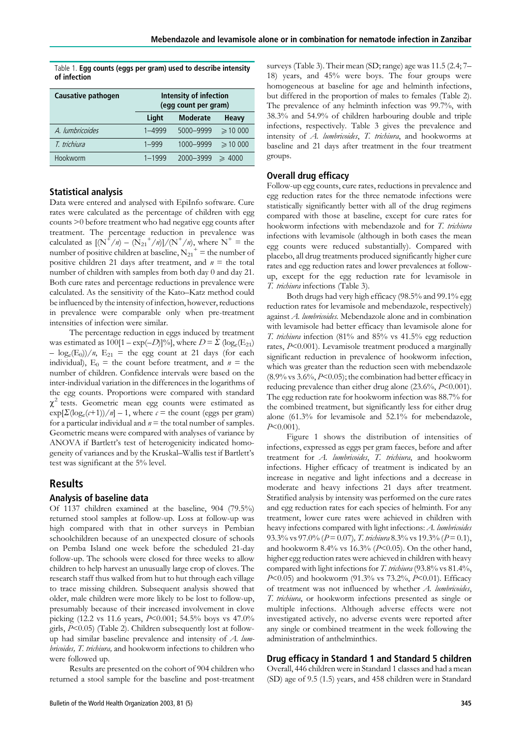|              |  | Table 1. Egg counts (eggs per gram) used to describe intensity |
|--------------|--|----------------------------------------------------------------|
| of infection |  |                                                                |

| Causative pathogen | Intensity of infection<br>(egg count per gram) |                 |                    |  |  |  |  |
|--------------------|------------------------------------------------|-----------------|--------------------|--|--|--|--|
|                    | Light                                          | <b>Moderate</b> | Heavy              |  |  |  |  |
| A. lumbricoides    | 1-4999                                         | 5000-9999       | $\geq 10000$       |  |  |  |  |
| T. trichiura       | $1 - 999$                                      | 1000-9999       | $\geqslant$ 10 000 |  |  |  |  |
| Hookworm           | $1 - 1999$                                     | 2000-3999       | $\geqslant$ 4000   |  |  |  |  |

## Statistical analysis

Data were entered and analysed with EpiInfo software. Cure rates were calculated as the percentage of children with egg counts >0 before treatment who had negative egg counts after treatment. The percentage reduction in prevalence was calculated as  $[(N^+/n) - (N_{21}^+/n)]/(N^+/n)$ , where  $N^+$  = the number of positive children at baseline,  $N_{21}^+$  = the number of positive children 21 days after treatment, and  $n =$  the total number of children with samples from both day 0 and day 21. Both cure rates and percentage reductions in prevalence were calculated. As the sensitivity of the Kato–Katz method could be influenced by the intensity of infection, however, reductions in prevalence were comparable only when pre-treatment intensities of infection were similar.

The percentage reduction in eggs induced by treatment was estimated as  $100[1 - \exp(-D)]\%$ , where  $D = \Sigma \left(\log_e(E_{21})\right)$  $-\log_e(E_0)/n$ ,  $E_{21}$  = the egg count at 21 days (for each individual),  $E_0$  = the count before treatment, and  $n =$  the number of children. Confidence intervals were based on the inter-individual variation in the differences in the logarithms of the egg counts. Proportions were compared with standard  $\chi^2$  tests. Geometric mean egg counts were estimated as  $\exp[\Sigma(\log_e(\ell+1))/n] - 1$ , where  $\ell$  = the count (eggs per gram) for a particular individual and  $n =$  the total number of samples. Geometric means were compared with analyses of variance by ANOVA if Bartlett's test of heterogenicity indicated homogeneity of variances and by the Kruskal–Wallis test if Bartlett's test was significant at the 5% level.

## Results

#### Analysis of baseline data

Of 1137 children examined at the baseline, 904 (79.5%) returned stool samples at follow-up. Loss at follow-up was high compared with that in other surveys in Pembian schoolchildren because of an unexpected closure of schools on Pemba Island one week before the scheduled 21-day follow-up. The schools were closed for three weeks to allow children to help harvest an unusually large crop of cloves. The research staff thus walked from hut to hut through each village to trace missing children. Subsequent analysis showed that older, male children were more likely to be lost to follow-up, presumably because of their increased involvement in clove picking (12.2 vs 11.6 years, P<0.001; 54.5% boys vs 47.0% girls, P<0.05) (Table 2). Children subsequently lost at followup had similar baseline prevalence and intensity of  $A$ . lumbricoides, T. trichiura, and hookworm infections to children who were followed up.

Results are presented on the cohort of 904 children who returned a stool sample for the baseline and post-treatment

surveys (Table 3). Their mean (SD; range) age was 11.5 (2.4; 7– 18) years, and 45% were boys. The four groups were homogeneous at baseline for age and helminth infections, but differed in the proportion of males to females (Table 2). The prevalence of any helminth infection was 99.7%, with 38.3% and 54.9% of children harbouring double and triple infections, respectively. Table 3 gives the prevalence and intensity of A. lumbricoides, T. trichiura, and hookworms at baseline and 21 days after treatment in the four treatment groups.

## Overall drug efficacy

Follow-up egg counts, cure rates, reductions in prevalence and egg reduction rates for the three nematode infections were statistically significantly better with all of the drug regimens compared with those at baseline, except for cure rates for hookworm infections with mebendazole and for T. trichiura infections with levamisole (although in both cases the mean egg counts were reduced substantially). Compared with placebo, all drug treatments produced significantly higher cure rates and egg reduction rates and lower prevalences at followup, except for the egg reduction rate for levamisole in T. trichiura infections (Table 3).

Both drugs had very high efficacy (98.5% and 99.1% egg reduction rates for levamisole and mebendazole, respectively) against A. lumbricoides. Mebendazole alone and in combination with levamisole had better efficacy than levamisole alone for T. trichiura infection (81% and 85% vs 41.5% egg reduction rates, P<0.001). Levamisole treatment produced a marginally significant reduction in prevalence of hookworm infection, which was greater than the reduction seen with mebendazole  $(8.9\% \text{ vs } 3.6\%, P<0.05)$ ; the combination had better efficacy in reducing prevalence than either drug alone  $(23.6\%, P<0.001)$ . The egg reduction rate for hookworm infection was 88.7% for the combined treatment, but significantly less for either drug alone (61.3% for levamisole and 52.1% for mebendazole,  $P<0.001$ ).

Figure 1 shows the distribution of intensities of infections, expressed as eggs per gram faeces, before and after treatment for A. lumbricoides, T. trichiura, and hookworm infections. Higher efficacy of treatment is indicated by an increase in negative and light infections and a decrease in moderate and heavy infections 21 days after treatment. Stratified analysis by intensity was performed on the cure rates and egg reduction rates for each species of helminth. For any treatment, lower cure rates were achieved in children with heavy infections compared with light infections: A. lumbricoides 93.3% vs 97.0% ( $P = 0.07$ ), T. trichiura 8.3% vs 19.3% ( $P = 0.1$ ), and hookworm  $8.4\%$  vs  $16.3\%$  ( $P<0.05$ ). On the other hand, higher egg reduction rates were achieved in children with heavy compared with light infections for T. trichiura (93.8% vs 81.4%,  $P<0.05$ ) and hookworm (91.3% vs 73.2%,  $P<0.01$ ). Efficacy of treatment was not influenced by whether A. lumbricoides, T. trichiura, or hookworm infections presented as single or multiple infections. Although adverse effects were not investigated actively, no adverse events were reported after any single or combined treatment in the week following the administration of anthelminthics.

## Drug efficacy in Standard 1 and Standard 5 children

Overall, 446 children were in Standard 1 classes and had a mean (SD) age of 9.5 (1.5) years, and 458 children were in Standard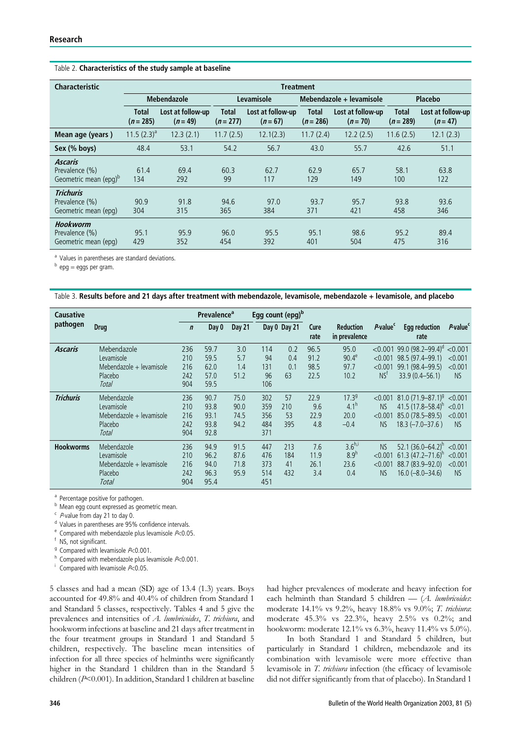#### Table 2. Characteristics of the study sample at baseline

| <b>Characteristic</b>                                                 | <b>Treatment</b>            |                                 |                             |                                 |                           |                                 |                           |                                 |  |  |  |
|-----------------------------------------------------------------------|-----------------------------|---------------------------------|-----------------------------|---------------------------------|---------------------------|---------------------------------|---------------------------|---------------------------------|--|--|--|
|                                                                       | <b>Mebendazole</b>          |                                 |                             | Levamisole                      |                           | Mebendazole + levamisole        | Placebo                   |                                 |  |  |  |
|                                                                       | <b>Total</b><br>$(n = 285)$ | Lost at follow-up<br>$(n = 49)$ | <b>Total</b><br>$(n = 277)$ | Lost at follow-up<br>$(n = 67)$ | <b>Total</b><br>$(n=286)$ | Lost at follow-up<br>$(n = 70)$ | <b>Total</b><br>$(n=289)$ | Lost at follow-up<br>$(n = 47)$ |  |  |  |
| Mean age (years)                                                      | $11.5(2.3)^a$               | 12.3(2.1)                       | 11.7(2.5)                   | 12.1(2.3)                       | 11.7(2.4)                 | 12.2(2.5)                       | 11.6(2.5)                 | 12.1(2.3)                       |  |  |  |
| Sex (% boys)                                                          | 48.4                        | 53.1                            | 54.2                        | 56.7                            | 43.0                      | 55.7                            | 42.6                      | 51.1                            |  |  |  |
| <b>Ascaris</b><br>Prevalence (%)<br>Geometric mean (epg) <sup>b</sup> | 61.4<br>134                 | 69.4<br>292                     | 60.3<br>99                  | 62.7<br>117                     | 62.9<br>129               | 65.7<br>149                     | 58.1<br>100               | 63.8<br>122                     |  |  |  |
| <b>Trichuris</b><br>Prevalence (%)<br>Geometric mean (epg)            | 90.9<br>304                 | 91.8<br>315                     | 94.6<br>365                 | 97.0<br>384                     | 93.7<br>371               | 95.7<br>421                     | 93.8<br>458               | 93.6<br>346                     |  |  |  |
| Hookworm<br>Prevalence (%)<br>Geometric mean (epg)                    | 95.1<br>429                 | 95.9<br>352                     | 96.0<br>454                 | 95.5<br>392                     | 95.1<br>401               | 98.6<br>504                     | 95.2<br>475               | 89.4<br>316                     |  |  |  |

<sup>a</sup> Values in parentheses are standard deviations.

 $<sup>b</sup>$  epg = eggs per gram.</sup>

Table 3. Results before and 21 days after treatment with mebendazole, levamisole, mebendazole + levamisole, and placebo

| <b>Causative</b> |                                                                           | <b>Prevalence</b> <sup>a</sup>  |                                      |                              |                                 |                         | Egg count (epg) <sup>b</sup> |                                                         |                                                  |                                                                                                   |                                            |
|------------------|---------------------------------------------------------------------------|---------------------------------|--------------------------------------|------------------------------|---------------------------------|-------------------------|------------------------------|---------------------------------------------------------|--------------------------------------------------|---------------------------------------------------------------------------------------------------|--------------------------------------------|
| pathogen         | <b>Drug</b>                                                               | $\mathbf n$                     | Day 0                                | Day 21                       |                                 | Day 0 Day 21            | Cure<br>rate                 | <b>Reduction</b><br>in prevalence                       | P-value <sup>c</sup>                             | <b>Egg reduction</b><br>rate                                                                      | P-value <sup>c</sup>                       |
| <b>Ascaris</b>   | Mebendazole<br>Levamisole<br>Mebendazole + levamisole<br>Placebo<br>Total | 236<br>210<br>216<br>242<br>904 | 59.7<br>59.5<br>62.0<br>57.0<br>59.5 | 3.0<br>5.7<br>1.4<br>51.2    | 114<br>94<br>131<br>96<br>106   | 0.2<br>0.4<br>0.1<br>63 | 96.5<br>91.2<br>98.5<br>22.5 | 95.0<br>$90.4^e$<br>97.7<br>10.2                        | < 0.001<br>< 0.001<br>< 0.001<br>NS <sup>†</sup> | 99.0 $(98.2 - 99.4)^d$ < 0.001<br>98.5 (97.4-99.1)<br>99.1 (98.4–99.5)<br>33.9 (0.4 - 56.1)       | < 0.001<br>< 0.001<br><b>NS</b>            |
| <b>Trichuris</b> | Mebendazole<br>Levamisole<br>Mebendazole + levamisole<br>Placebo<br>Total | 236<br>210<br>216<br>242<br>904 | 90.7<br>93.8<br>93.1<br>93.8<br>92.8 | 75.0<br>90.0<br>74.5<br>94.2 | 302<br>359<br>356<br>484<br>371 | 57<br>210<br>53<br>395  | 22.9<br>9.6<br>22.9<br>4.8   | 17.3 <sup>9</sup><br>4.1 <sup>n</sup><br>20.0<br>$-0.4$ | < 0.001<br><b>NS</b><br>< 0.001<br><b>NS</b>     | 81.0 $(71.9-87.1)^9$ <0.001<br>41.5 $(17.8 - 58.4)^h$<br>85.0 (78.5-89.5)<br>$18.3 (-7.0 - 37.6)$ | < 0.01<br>< 0.001<br><b>NS</b>             |
| <b>Hookworms</b> | Mebendazole<br>Levamisole<br>Mebendazole + levamisole<br>Placebo<br>Total | 236<br>210<br>216<br>242<br>904 | 94.9<br>96.2<br>94.0<br>96.3<br>95.4 | 91.5<br>87.6<br>71.8<br>95.9 | 447<br>476<br>373<br>514<br>451 | 213<br>184<br>41<br>432 | 7.6<br>11.9<br>26.1<br>3.4   | $3.6^{h,i}$<br>8.9 <sup>h</sup><br>23.6<br>0.4          | <b>NS</b><br>< 0.001<br>< 0.001<br><b>NS</b>     | 52.1 $(36.0 - 64.2)^{h}$<br>61.3 $(47.2 - 71.6)^h$<br>88.7 (83.9-92.0)<br>$16.0 (-8.0 - 34.6)$    | < 0.001<br>< 0.001<br>< 0.001<br><b>NS</b> |

a Percentage positive for pathogen.

b Mean egg count expressed as geometric mean.

 $\cdot$  P-value from day 21 to day 0.<br>d Values in parentheses are 95% confidence intervals.

<sup>e</sup> Compared with mebendazole plus levamisole  $P<0.05$ .<br>
<sup>f</sup> NS, not significant.

<sup>g</sup> Compared with levamisole  $P<0.001$ .<br>
<sup>h</sup> Compared with mebendazole plus levamisole  $P<0.001$ .

<sup>i</sup> Compared with levamisole  $P<0.05$ .

5 classes and had a mean (SD) age of 13.4 (1.3) years. Boys accounted for 49.8% and 40.4% of children from Standard 1 and Standard 5 classes, respectively. Tables 4 and 5 give the prevalences and intensities of A. lumbricoides, T. trichiura, and hookworm infections at baseline and 21 days after treatment in the four treatment groups in Standard 1 and Standard 5 children, respectively. The baseline mean intensities of infection for all three species of helminths were significantly higher in the Standard 1 children than in the Standard 5 children (P<0.001). In addition, Standard 1 children at baseline had higher prevalences of moderate and heavy infection for each helminth than Standard 5 children — (A. lumbricoides: moderate 14.1% vs 9.2%, heavy 18.8% vs 9.0%; T. trichiura: moderate 45.3% vs 22.3%, heavy 2.5% vs 0.2%; and hookworm: moderate 12.1% vs 6.3%, heavy 11.4% vs 5.0%).

In both Standard 1 and Standard 5 children, but particularly in Standard 1 children, mebendazole and its combination with levamisole were more effective than levamisole in T. trichiura infection (the efficacy of levamisole did not differ significantly from that of placebo). In Standard 1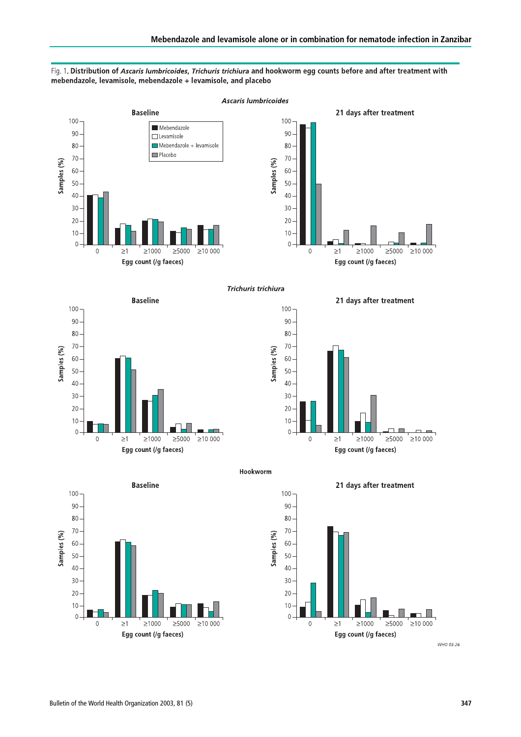

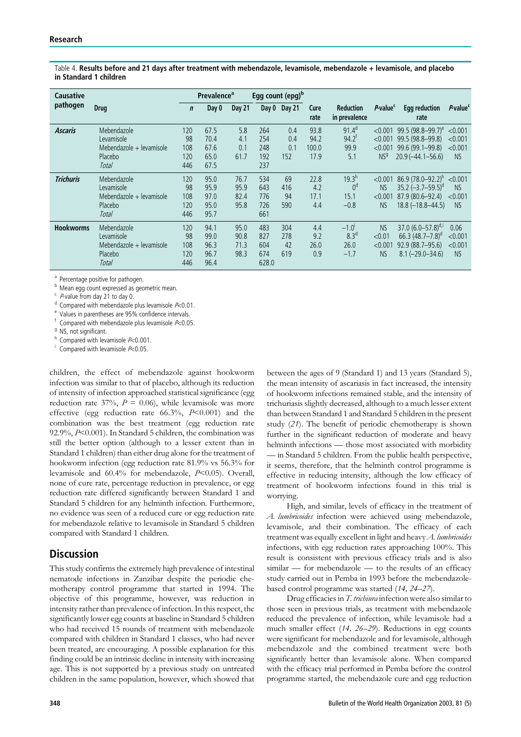Table 4. Results before and 21 days after treatment with mebendazole, levamisole, mebendazole + levamisole, and placebo in Standard 1 children

| <b>Causative</b> |                                                                           | Egg count (epg) <sup>b</sup><br><b>Prevalence</b> <sup>a</sup> |                                      |                              |                                   |                          |                               |                                                           |                                                  |                                                                                                    |                                              |
|------------------|---------------------------------------------------------------------------|----------------------------------------------------------------|--------------------------------------|------------------------------|-----------------------------------|--------------------------|-------------------------------|-----------------------------------------------------------|--------------------------------------------------|----------------------------------------------------------------------------------------------------|----------------------------------------------|
| pathogen         | <b>Drug</b>                                                               | $\mathbf n$                                                    | Day 0                                | <b>Day 21</b>                | Day 0                             | Day 21                   | Cure<br>rate                  | <b>Reduction</b><br>in prevalence                         | P-value <sup>c</sup>                             | <b>Egg reduction</b><br>rate                                                                       | P-value <sup>c</sup>                         |
| <b>Ascaris</b>   | Mebendazole<br>Levamisole<br>Mebendazole + levamisole<br>Placebo<br>Total | 120<br>98<br>108<br>120<br>446                                 | 67.5<br>70.4<br>67.6<br>65.0<br>67.5 | 5.8<br>4.1<br>0.1<br>61.7    | 264<br>254<br>248<br>192<br>237   | 0.4<br>0.4<br>0.1<br>152 | 93.8<br>94.2<br>100.0<br>17.9 | $91.4^{d}$<br>$94.2$ <sup>t</sup><br>99.9<br>5.1          | < 0.001<br>< 0.001<br>< 0.001<br>NS <sup>g</sup> | $99.5(98.8 - 99.7)^e$<br>99.5 (98.8-99.8)<br>99.6 (99.1-99.8)<br>$20.9(-44.1 - 56.6)$              | < 0.001<br>< 0.001<br>< 0.001<br><b>NS</b>   |
| <b>Trichuris</b> | Mebendazole<br>Levamisole<br>Mebendazole + levamisole<br>Placebo<br>Total | 120<br>98<br>108<br>120<br>446                                 | 95.0<br>95.9<br>97.0<br>95.0<br>95.7 | 76.7<br>95.9<br>82.4<br>95.8 | 534<br>643<br>776<br>726<br>661   | 69<br>416<br>94<br>590   | 22.8<br>4.2<br>17.1<br>4.4    | 19.3 <sup>h</sup><br>0 <sup>d</sup><br>15.1<br>$-0.8$     | < 0.001<br><b>NS</b><br>< 0.001<br><b>NS</b>     | $86.9(78.0 - 92.2)^h$<br>$35.2$ (-3.7-59.5) <sup>d</sup><br>87.9 (80.6-92.4)<br>$18.8(-18.8-44.5)$ | < 0.001<br><b>NS</b><br>< 0.001<br><b>NS</b> |
| <b>Hookworms</b> | Mebendazole<br>Levamisole<br>Mebendazole + levamisole<br>Placebo<br>Total | 120<br>98<br>108<br>120<br>446                                 | 94.1<br>99.0<br>96.3<br>96.7<br>96.4 | 95.0<br>90.8<br>71.3<br>98.3 | 483<br>827<br>604<br>674<br>628.0 | 304<br>278<br>42<br>619  | 4.4<br>9.2<br>26.0<br>0.9     | $-1.0$ <sup>'</sup><br>8.3 <sup>d</sup><br>26.0<br>$-1.7$ | <b>NS</b><br>< 0.01<br>< 0.001<br><b>NS</b>      | 37.0 $(6.0 - 57.8)^{d,i}$<br>66.3 $(48.7 - 7.8)^d$<br>92.9 (88.7-95.6)<br>$8.1 (-29.0 - 34.6)$     | 0.06<br>< 0.001<br>< 0.001<br><b>NS</b>      |

<sup>a</sup> Percentage positive for pathogen.

 $^{\text{b}}$  Mean egg count expressed as geometric mean.<br>  $^{\text{c}}$  P-value from day 21 to day 0.

<sup>d</sup> Compared with mebendazole plus levamisole  $P<0.01$ .<br><sup>e</sup> Values in parentheses are 95% confidence intervals.

<sup>f</sup> Compared with mebendazole plus levamisole  $P<0.05$ .<br><sup>g</sup> NS, not significant.

<sup>h</sup> Compared with levamisole  $P<0.001$ .<br><sup>i</sup> Compared with levamisole  $P<0.05$ .

children, the effect of mebendazole against hookworm infection was similar to that of placebo, although its reduction of intensity of infection approached statistical significance (egg reduction rate 37%,  $P = 0.06$ ), while levamisole was more effective (egg reduction rate  $66.3\%$ ,  $P<0.001$ ) and the combination was the best treatment (egg reduction rate 92.9%, P<0.001). In Standard 5 children, the combination was still the better option (although to a lesser extent than in Standard 1 children) than either drug alone for the treatment of hookworm infection (egg reduction rate 81.9% vs 56.3% for levamisole and 60.4% for mebendazole, P<0.05). Overall, none of cure rate, percentage reduction in prevalence, or egg reduction rate differed significantly between Standard 1 and Standard 5 children for any helminth infection. Furthermore, no evidence was seen of a reduced cure or egg reduction rate for mebendazole relative to levamisole in Standard 5 children compared with Standard 1 children.

## **Discussion**

This study confirms the extremely high prevalence of intestinal nematode infections in Zanzibar despite the periodic chemotherapy control programme that started in 1994. The objective of this programme, however, was reduction in intensity rather than prevalence of infection. In this respect, the significantly lower egg counts at baseline in Standard 5 children who had received 15 rounds of treatment with mebendazole compared with children in Standard 1 classes, who had never been treated, are encouraging. A possible explanation for this finding could be an intrinsic decline in intensity with increasing age. This is not supported by a previous study on untreated children in the same population, however, which showed that between the ages of 9 (Standard 1) and 13 years (Standard 5), the mean intensity of ascariasis in fact increased, the intensity of hookworm infections remained stable, and the intensity of trichuriasis slightly decreased, although to a much lesser extent than between Standard 1 and Standard 5 children in the present study (21). The benefit of periodic chemotherapy is shown further in the significant reduction of moderate and heavy helminth infections — those most associated with morbidity — in Standard 5 children. From the public health perspective, it seems, therefore, that the helminth control programme is effective in reducing intensity, although the low efficacy of treatment of hookworm infections found in this trial is worrying.

High, and similar, levels of efficacy in the treatment of A. lumbricoides infection were achieved using mebendazole, levamisole, and their combination. The efficacy of each treatment was equally excellent in light and heavy A. lumbricoides infections, with egg reduction rates approaching 100%. This result is consistent with previous efficacy trials and is also similar — for mebendazole — to the results of an efficacy study carried out in Pemba in 1993 before the mebendazolebased control programme was started (14, 24–27).

Drug efficacies in T. trichiura infection were also similar to those seen in previous trials, as treatment with mebendazole reduced the prevalence of infection, while levamisole had a much smaller effect (14, 26–29). Reductions in egg counts were significant for mebendazole and for levamisole, although mebendazole and the combined treatment were both significantly better than levamisole alone. When compared with the efficacy trial performed in Pemba before the control programme started, the mebendazole cure and egg reduction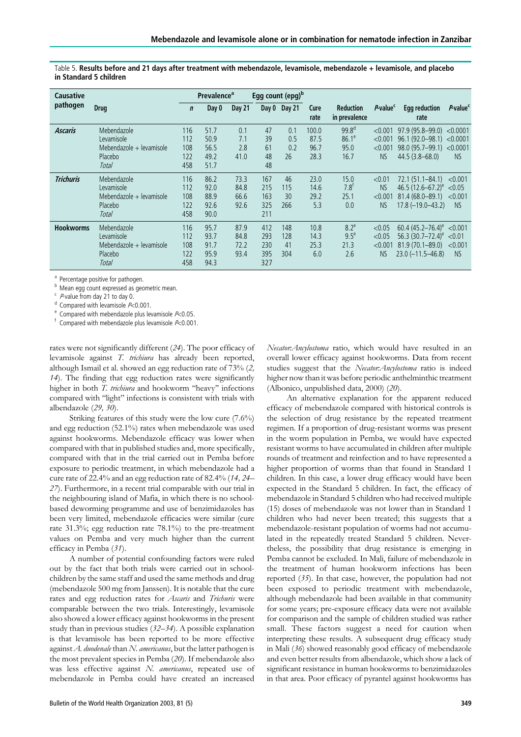| <b>Causative</b> |                                                                           |                                 | <b>Prevalence</b> <sup>a</sup>       |                              | Egg count (epg) <sup>b</sup>    |                         |                               |                                               |                                             |                                                                                                                     |                                           |
|------------------|---------------------------------------------------------------------------|---------------------------------|--------------------------------------|------------------------------|---------------------------------|-------------------------|-------------------------------|-----------------------------------------------|---------------------------------------------|---------------------------------------------------------------------------------------------------------------------|-------------------------------------------|
| pathogen         | <b>Drug</b>                                                               | $\mathbf n$                     | Day 0                                | <b>Day 21</b>                |                                 | Day 0 Day 21            | Cure<br>rate                  | <b>Reduction</b><br>in prevalence             | P-value <sup>c</sup>                        | <b>Egg reduction</b><br>rate                                                                                        | P-value <sup>c</sup>                      |
| <b>Ascaris</b>   | Mebendazole<br>Levamisole<br>Mebendazole + levamisole<br>Placebo<br>Total | 116<br>112<br>108<br>122<br>458 | 51.7<br>50.9<br>56.5<br>49.2<br>51.7 | 0.1<br>7.1<br>2.8<br>41.0    | 47<br>39<br>61<br>48<br>48      | 0.1<br>0.5<br>0.2<br>26 | 100.0<br>87.5<br>96.7<br>28.3 | 99.8 <sup>d</sup><br>$86.1^e$<br>95.0<br>16.7 | < 0.001<br>< 0.001<br>< 0.001<br><b>NS</b>  | $97.9(95.8-99.0) < 0.0001$<br>$96.1(92.0-98.1) < 0.0001$<br>98.0 (95.7-99.1)<br>$44.5(3.8 - 68.0)$                  | < 0.0001<br><b>NS</b>                     |
| <b>Trichuris</b> | Mebendazole<br>Levamisole<br>Mebendazole + levamisole<br>Placebo<br>Total | 116<br>112<br>108<br>122<br>458 | 86.2<br>92.0<br>88.9<br>92.6<br>90.0 | 73.3<br>84.8<br>66.6<br>92.6 | 167<br>215<br>163<br>325<br>211 | 46<br>115<br>30<br>266  | 23.0<br>14.6<br>29.2<br>5.3   | 15.0<br>$7.8^{\text{t}}$<br>25.1<br>0.0       | < 0.01<br><b>NS</b><br>< 0.001<br><b>NS</b> | $72.1(51.1 - 84.1)$<br>46.5 $(12.6 - 67.2)^e$<br>$81.4(68.0 - 89.1)$<br>$17.8 (-19.0 - 43.2)$                       | < 0.001<br>< 0.05<br>< 0.001<br><b>NS</b> |
| <b>Hookworms</b> | Mebendazole<br>Levamisole<br>Mebendazole + levamisole<br>Placebo<br>Total | 116<br>112<br>108<br>122<br>458 | 95.7<br>93.7<br>91.7<br>95.9<br>94.3 | 87.9<br>84.8<br>72.2<br>93.4 | 412<br>293<br>230<br>395<br>327 | 148<br>128<br>41<br>304 | 10.8<br>14.3<br>25.3<br>6.0   | $8.2^e$<br>9.5 <sup>e</sup><br>21.3<br>2.6    | < 0.05<br>< 0.05<br>< 0.001<br><b>NS</b>    | $60.4$ (45.2–76.4) <sup>e</sup> <0.001<br>56.3 $(30.7-72.4)^e$ < 0.01<br>$81.9(70.1 - 89.0)$<br>$23.0$ (-11.5-46.8) | < 0.001<br><b>NS</b>                      |

Table 5. Results before and 21 days after treatment with mebendazole, levamisole, mebendazole + levamisole, and placebo in Standard 5 children

a Percentage positive for pathogen.

 $\overline{b}$  Mean egg count expressed as geometric mean.<br>  $\overline{c}$  Pvalue from day 21 to day 0.

<sup>d</sup> Compared with levamisole  $P<0.001$ .<br>
<sup>e</sup> Compared with mebendazole plus levamisole  $P<0.05$ .<br>
<sup>f</sup> Compared with mebendazole plus levamisole  $P<0.001$ .

rates were not significantly different (24). The poor efficacy of levamisole against T. trichiura has already been reported, although Ismail et al. showed an egg reduction rate of 73% (2, 14). The finding that egg reduction rates were significantly higher in both T. trichiura and hookworm ''heavy'' infections compared with "light" infections is consistent with trials with albendazole (29, 30).

Striking features of this study were the low cure (7.6%) and egg reduction (52.1%) rates when mebendazole was used against hookworms. Mebendazole efficacy was lower when compared with that in published studies and, more specifically, compared with that in the trial carried out in Pemba before exposure to periodic treatment, in which mebendazole had a cure rate of 22.4% and an egg reduction rate of 82.4% (14, 24– 27). Furthermore, in a recent trial comparable with our trial in the neighbouring island of Mafia, in which there is no schoolbased deworming programme and use of benzimidazoles has been very limited, mebendazole efficacies were similar (cure rate 31.3%; egg reduction rate 78.1%) to the pre-treatment values on Pemba and very much higher than the current efficacy in Pemba (31).

A number of potential confounding factors were ruled out by the fact that both trials were carried out in schoolchildren by the same staff and used the same methods and drug (mebendazole 500 mg from Janssen). It is notable that the cure rates and egg reduction rates for Ascaris and Trichuris were comparable between the two trials. Interestingly, levamisole also showed a lower efficacy against hookworms in the present study than in previous studies (32–34). A possible explanation is that levamisole has been reported to be more effective against  $A$ . duodenale than  $N$ . americanus, but the latter pathogen is the most prevalent species in Pemba (20). If mebendazole also was less effective against N. americanus, repeated use of mebendazole in Pemba could have created an increased

Bulletin of the World Health Organization 2003, 81 (5) 349

Necator:Ancylostoma ratio, which would have resulted in an overall lower efficacy against hookworms. Data from recent studies suggest that the Necator: Ancylostoma ratio is indeed higher now than it was before periodic anthelminthic treatment (Albonico, unpublished data, 2000) (20).

An alternative explanation for the apparent reduced efficacy of mebendazole compared with historical controls is the selection of drug resistance by the repeated treatment regimen. If a proportion of drug-resistant worms was present in the worm population in Pemba, we would have expected resistant worms to have accumulated in children after multiple rounds of treatment and reinfection and to have represented a higher proportion of worms than that found in Standard 1 children. In this case, a lower drug efficacy would have been expected in the Standard 5 children. In fact, the efficacy of mebendazole in Standard 5 children who had received multiple (15) doses of mebendazole was not lower than in Standard 1 children who had never been treated; this suggests that a mebendazole-resistant population of worms had not accumulated in the repeatedly treated Standard 5 children. Nevertheless, the possibility that drug resistance is emerging in Pemba cannot be excluded. In Mali, failure of mebendazole in the treatment of human hookworm infections has been reported (35). In that case, however, the population had not been exposed to periodic treatment with mebendazole, although mebendazole had been available in that community for some years; pre-exposure efficacy data were not available for comparison and the sample of children studied was rather small. These factors suggest a need for caution when interpreting these results. A subsequent drug efficacy study in Mali (36) showed reasonably good efficacy of mebendazole and even better results from albendazole, which show a lack of significant resistance in human hookworms to benzimidazoles in that area. Poor efficacy of pyrantel against hookworms has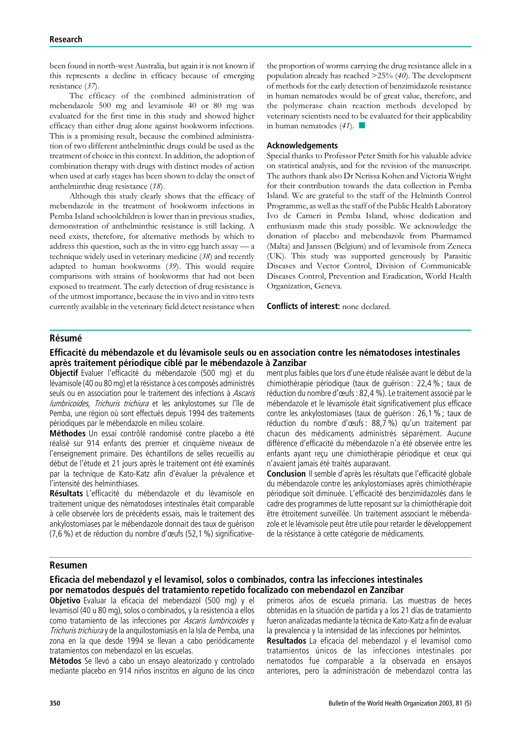been found in north-west Australia, but again it is not known if this represents a decline in efficacy because of emerging resistance (37).

The efficacy of the combined administration of mebendazole 500 mg and levamisole 40 or 80 mg was evaluated for the first time in this study and showed higher efficacy than either drug alone against hookworm infections. This is a promising result, because the combined administration of two different anthelminthic drugs could be used as the treatment of choice in this context. In addition, the adoption of combination therapy with drugs with distinct modes of action when used at early stages has been shown to delay the onset of anthelminthic drug resistance (18).

Although this study clearly shows that the efficacy of mebendazole in the treatment of hookworm infections in Pemba Island schoolchildren is lower than in previous studies, demonstration of anthelminthic resistance is still lacking. A need exists, therefore, for alternative methods by which to address this question, such as the in vitro egg hatch assay — a technique widely used in veterinary medicine (38) and recently adapted to human hookworms (39). This would require comparisons with strains of hookworms that had not been exposed to treatment. The early detection of drug resistance is of the utmost importance, because the in vivo and in vitro tests currently available in the veterinary field detect resistance when

the proportion of worms carrying the drug resistance allele in a population already has reached >25% (40). The development of methods for the early detection of benzimidazole resistance in human nematodes would be of great value, therefore, and the polymerase chain reaction methods developed by veterinary scientists need to be evaluated for their applicability in human nematodes  $(41)$ .

#### Acknowledgements

Special thanks to Professor Peter Smith for his valuable advice on statistical analysis, and for the revision of the manuscript. The authors thank also Dr Nerissa Kohen and Victoria Wright for their contribution towards the data collection in Pemba Island. We are grateful to the staff of the Helminth Control Programme, as well as the staff of the Public Health Laboratory Ivo de Carneri in Pemba Island, whose dedication and enthusiasm made this study possible. We acknowledge the donation of placebo and mebendazole from Pharmamed (Malta) and Janssen (Belgium) and of levamisole from Zeneca (UK). This study was supported generously by Parasitic Diseases and Vector Control, Division of Communicable Diseases Control, Prevention and Eradication, World Health Organization, Geneva.

Conflicts of interest: none declared.

#### **Résumé**

#### Efficacité du mébendazole et du lévamisole seuls ou en association contre les nématodoses intestinales après traitement périodique ciblé par le mébendazole à Zanzibar

Objectif Evaluer l'efficacité du mébendazole (500 mg) et du lévamisole (40 ou 80 mg) et la résistance à ces composés administrés seuls ou en association pour le traitement des infections à Ascaris lumbricoides, Trichuris trichiura et les ankylostomes sur l'île de Pemba, une région où sont effectués depuis 1994 des traitements périodiques par le mébendazole en milieu scolaire.

Méthodes Un essai contrôlé randomisé contre placebo a été réalisé sur 914 enfants des premier et cinquième niveaux de l'enseignement primaire. Des échantillons de selles recueillis au début de l'étude et 21 jours après le traitement ont été examinés par la technique de Kato-Katz afin d'évaluer la prévalence et l'intensité des helminthiases.

Résultats L'efficacité du mébendazole et du lévamisole en traitement unique des nématodoses intestinales était comparable à celle observée lors de précédents essais, mais le traitement des ankylostomiases par le mébendazole donnait des taux de guérison  $(7,6, 9)$  et de réduction du nombre d'œufs (52,1 %) significativement plus faibles que lors d'une étude réalisée avant le début de la chimiothérapie périodique (taux de quérison : 22,4 % ; taux de réduction du nombre d'œufs : 82,4 %). Le traitement associé par le mébendazole et le lévamisole était significativement plus efficace contre les ankylostomiases (taux de guérison : 26,1 % ; taux de réduction du nombre d'œufs : 88,7 %) qu'un traitement par chacun des médicaments administrés séparément. Aucune différence d'efficacité du mébendazole n'a été observée entre les enfants ayant reçu une chimiothérapie périodique et ceux qui n'avaient jamais été traités auparavant.

Conclusion Il semble d'après les résultats que l'efficacité globale du mébendazole contre les ankylostomiases après chimiothérapie périodique soit diminuée. L'efficacité des benzimidazolés dans le cadre des programmes de lutte reposant sur la chimiothérapie doit être étroitement surveillée. Un traitement associant le mébendazole et le lévamisole peut être utile pour retarder le développement de la résistance à cette catégorie de médicaments.

#### Resumen

#### Eficacia del mebendazol y el levamisol, solos o combinados, contra las infecciones intestinales por nematodos después del tratamiento repetido focalizado con mebendazol en Zanzíbar

Objetivo Evaluar la eficacia del mebendazol (500 mg) y el levamisol (40 u 80 mg), solos o combinados, y la resistencia a ellos como tratamiento de las infecciones por Ascaris lumbricoides y Trichuris trichiura y de la anquilostomiasis en la Isla de Pemba, una zona en la que desde 1994 se llevan a cabo perió dicamente tratamientos con mebendazol en las escuelas.

Métodos Se llevó a cabo un ensayo aleatorizado y controlado mediante placebo en 914 niños inscritos en alguno de los cinco primeros años de escuela primaria. Las muestras de heces obtenidas en la situación de partida y a los 21 días de tratamiento fueron analizadas mediante la técnica de Kato-Katz a fin de evaluar la prevalencia y la intensidad de las infecciones por helmintos.

Resultados La eficacia del mebendazol y el levamisol como tratamientos únicos de las infecciones intestinales por nematodos fue comparable a la observada en ensayos anteriores, pero la administración de mebendazol contra las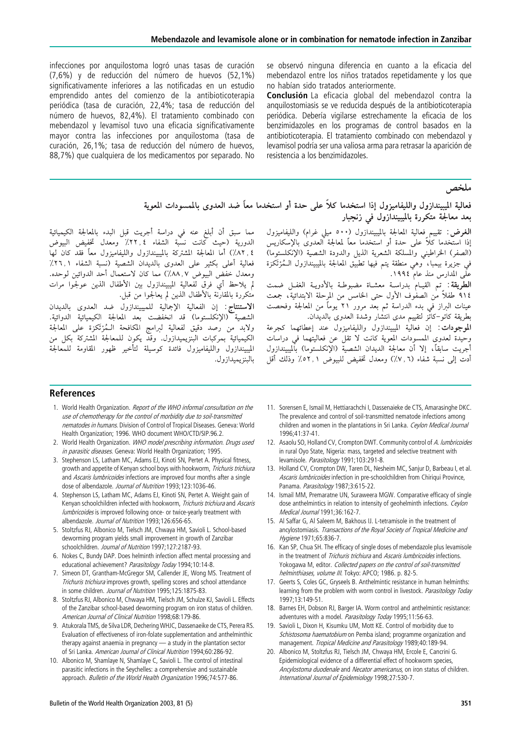infecciones por anquilostoma logró unas tasas de curación  $(7,6%)$  y de reducción del número de huevos  $(52,1%)$ significativamente inferiores a las notificadas en un estudio emprendido antes del comienzo de la antibioticoterapia periódica (tasa de curación, 22,4%; tasa de reducción del número de huevos, 82,4%). El tratamiento combinado con mebendazol y levamisol tuvo una eficacia significativamente mayor contra las infecciones por anquilostoma (tasa de curación, 26,1%; tasa de reducción del número de huevos, 88,7%) que cualquiera de los medicamentos por separado. No

se observó ninguna diferencia en cuanto a la eficacia del mebendazol entre los niños tratados repetidamente y los que no habían sido tratados anteriormente.

Conclusión La eficacia global del mebendazol contra la anquilostomiasis se ve reducida después de la antibioticoterapia periódica. Debería vigilarse estrechamente la eficacia de los benzimidazoles en los programas de control basados en la antibioticoterapia. El tratamiento combinado con mebendazol y levamisol podría ser una valiosa arma para retrasar la aparición de resistencia a los benzimidazoles.

ملخص

## فعالية الميبيندازول والليفاميزول إذا استخدما كلاً على حدة أو استخدما معاً ضد العدوى بالممسودات المعوية بعد معالجة متكررة بالميبيندآزول فى زنجبار

الغرض: تقييم فعالية المعالجة بالميبيندازول (٥٠٠ ميلي غرام) والليفاميزول إذا استخدما كلاً على حدة أو استخدما معاً لمعالجة العدوى بالإسكاريس (الصفر) الخراطيني والمسلكة الشعرية الذيل والدودة الشصية (الإنكلستوما) في جزيرة بيمبا، ًوهي منطقة يتم فيها تطبيّق المعالجة بالميبيندازول الـمُرْتَكزة علَّمِي المُدارِسِ منذ عام ١٩٩٤.

الطريقة: تم القيام بدراسة معشاة مضبوطة بالأدويـة الغفـل ضمت ٩١٤ طفلاً مٰن الصفْوف الأول حتى الخامس من المرحلة الابتدائية، جمعت عينات البراز في بدء الدراسة ثم بعد مرور ٢١ يوماً من المعالجة وفحصت بطريقة كاتو–كاتّز لتقييم مدى انتشار وشدة العدوى بالديدان.

الموجودات: إن فعالية الميبيندازول والليفاميزول عند إعطائهما كجرعة ر . ر .<br>وحيدة لعدوي الممسوِدات المعوية كانت لا تقل عن فعاليتهما في دراسات أجريت سابقاً، إلا أن معالجة الديدان الشصية (الإنكلستوما) بالميبيندازول أدت إلى نسبة شفاء (٦, ٧٪) ومعدل تخفيض للبيوض ٢, ٥٢٪ وذلك أقل

مما سبق أن أبلغ عنه في دراسة أجريت قبل البدء بالمعالجة الكيميائية الدورية (حيث كانت نسبة الشفاء ٢٢٫٤٪ ومعدل تخفيض البيوض ٤ ,٨٢٪) أما المعالجة المشتركة بالميبيندازول والليفاميزول معاً فقد كان لها فعالية أعلى بكثير على العدوى بالديدان الشصية (نسبة الشفاء ١,٢٦٪ ومعدل خفض البيوض ٨, ٨٨٪) مما كان لاستعمال أحد الدوائين لوحده. لم يلاحظ أيَّ فرق لفعالية الميبيندازول بين الأطفال الذين عولجوا مرات مْتْكَرّْرَة بْالْمْقَارْنَة بْالْأَطْفَالْ الّْذِينْ لَمْ يْعَالْجُوا مِنْ قْبَلْ.

الاستنتاج: إن الفعالية الإجمالية للميبيندازول ضد العدوى بالديدان الشصية (الإنكلستوما) قد انخفضت بعد المعالجة الكيميائية الدوائية. ولابد من رصد دقيق لفعالية لبرامج المكافحة الـمُرْتكزة على المعالجة الكيميائية بمركبات البنزيميدازول. وقدّ يكون للمعالجة المشتركة بكل من الميبيندازول والليفاميزول فائدة كوسيلة لتأخير ظهور المقاومة للمعالجة بالبنزيميدازول.

#### References

- 1. World Health Organization. Report of the WHO informal consultation on the use of chemotherapy for the control of morbidity due to soil-transmitted nematodes in humans. Division of Control of Tropical Diseases. Geneva: World Health Organization; 1996. WHO document WHO/CTD/SIP.96.2.
- 2. World Health Organization. WHO model prescribing information. Drugs used in parasitic diseases. Geneva: World Health Organization; 1995.
- 3. Stephenson LS, Latham MC, Adams EJ, Kinoti SN, Pertet A. Physical fitness, growth and appetite of Kenyan school boys with hookworm, Trichuris trichiura and Ascaris lumbricoides infections are improved four months after a single dose of albendazole. Journal of Nutrition 1993;123:1036-46.
- 4. Stephenson LS, Latham MC, Adams EJ, Kinoti SN, Pertet A. Weight gain of Kenyan schoolchildren infected with hookworm, Trichuris trichiura and Ascaris lumbricoides is improved following once- or twice-yearly treatment with albendazole. Journal of Nutrition 1993;126:656-65.
- 5. Stoltzfus RJ, Albonico M, Tielsch JM, Chwaya HM, Savioli L. School-based deworming program yields small improvement in growth of Zanzibar schoolchildren. Journal of Nutrition 1997;127:2187-93.
- 6. Nokes C, Bundy DAP. Does helminth infection affect mental processing and educational achievement? Parasitology Today 1994;10:14-8.
- 7. Simeon DT, Grantham-McGregor SM, Callender JE, Wong MS. Treatment of Trichuris trichiura improves growth, spelling scores and school attendance in some children. Journal of Nutrition 1995;125:1875-83.
- 8. Stoltzfus RJ, Albonico M, Chwaya HM, Tielsch JM, Schulze KJ, Savioli L. Effects of the Zanzibar school-based deworming program on iron status of children. American Journal of Clinical Nutrition 1998;68:179-86.
- 9. Atukorala TMS, de Silva LDR, Dechering WHJC, Dassenaeike de CTS, Perera RS. Evaluation of effectiveness of iron-folate supplementation and anthelminthic therapy against anaemia in pregnancy — a study in the plantation sector of Sri Lanka. American Journal of Clinical Nutrition 1994;60:286-92.
- 10. Albonico M, Shamlaye N, Shamlaye C, Savioli L. The control of intestinal parasitic infections in the Seychelles: a comprehensive and sustainable approach. Bulletin of the World Health Organization 1996;74:577-86.
- 11. Sorensen E, Ismail M, Hettiarachchi I, Dassenaieke de CTS, Amarasinghe DKC. The prevalence and control of soil-transmitted nematode infections among children and women in the plantations in Sri Lanka. Ceylon Medical Journal 1996;41:37-41.
- 12. Asaolu SO, Holland CV, Crompton DWT. Community control of A. lumbricoides in rural Oyo State, Nigeria: mass, targeted and selective treatment with levamisole. Parasitology 1991;103:291-8.
- 13. Holland CV, Crompton DW, Taren DL, Nesheim MC, Sanjur D, Barbeau I, et al. Ascaris lumbricoides infection in pre-schoolchildren from Chiriqui Province, Panama. Parasitology 1987;3:615-22.
- 14. Ismail MM, Premaratne UN, Suraweera MGW. Comparative efficacy of single dose anthelmintics in relation to intensity of geohelminth infections. Ceylon Medical Journal 1991;36:162-7.
- 15. Al Saffar G, Al Saleem M, Bakhous IJ. L-tetramisole in the treatment of ancylostomiasis. Transactions of the Royal Society of Tropical Medicine and Hygiene 1971;65:836-7.
- 16. Kan SP, Chua SH. The efficacy of single doses of mebendazole plus levamisole in the treatment of *Trichuris trichiura* and *Ascaris lumbricoides* infections. Yokogawa M, editor. Collected papers on the control of soil-transmitted helminthiases, volume III. Tokyo: APCO; 1986. p. 82-5.
- 17. Geerts S, Coles GC, Gryseels B. Anthelmintic resistance in human helminths: learning from the problem with worm control in livestock. Parasitology Today 1997;13:149-51.
- 18. Barnes EH, Dobson RJ, Barger IA. Worm control and anthelmintic resistance: adventures with a model. Parasitology Today 1995;11:56-63.
- 19. Savioli L, Dixon H, Kisumku UM, Mott KE. Control of morbidity due to Schistosoma haematobium on Pemba island: programme organization and management. Tropical Medicine and Parasitology 1989;40:189-94.
- 20. Albonico M, Stoltzfus RJ, Tielsch JM, Chwaya HM, Ercole E, Cancrini G. Epidemiological evidence of a differential effect of hookworm species, Ancylostoma duodenale and Necator americanus, on iron status of children. International Journal of Epidemiology 1998;27:530-7.